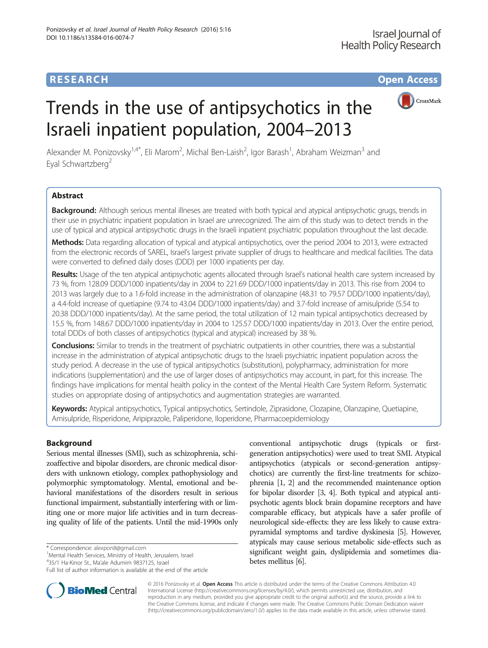## **RESEARCH CHE Open Access**



# Trends in the use of antipsychotics in the Israeli inpatient population, 2004–2013

Alexander M. Ponizovsky<sup>1,4\*</sup>, Eli Marom<sup>2</sup>, Michal Ben-Laish<sup>2</sup>, Igor Barash<sup>1</sup>, Abraham Weizman<sup>3</sup> and Eyal Schwartzberg<sup>2</sup>

## Abstract

Background: Although serious mental illneses are treated with both typical and atypical antipsychotic grugs, trends in their use in psychiatric inpatient population in Israel are unrecognized. The aim of this study was to detect trends in the use of typical and atypical antipsychotic drugs in the Israeli inpatient psychiatric population throughout the last decade.

Methods: Data regarding allocation of typical and atypical antipsychotics, over the period 2004 to 2013, were extracted from the electronic records of SAREL, Israel's largest private supplier of drugs to healthcare and medical facilities. The data were converted to defined daily doses (DDD) per 1000 inpatients per day.

Results: Usage of the ten atypical antipsychotic agents allocated through Israel's national health care system increased by 73 %, from 128.09 DDD/1000 inpatients/day in 2004 to 221.69 DDD/1000 inpatients/day in 2013. This rise from 2004 to 2013 was largely due to a 1.6-fold increase in the administration of olanzapine (48.31 to 79.57 DDD/1000 inpatients/day), a 4.4-fold increase of quetiapine (9.74 to 43.04 DDD/1000 inpatients/day) and 3.7-fold increase of amisulpride (5.54 to 20.38 DDD/1000 inpatients/day). At the same period, the total utilization of 12 main typical antipsychotics decreased by 15.5 %, from 148.67 DDD/1000 inpatients/day in 2004 to 125.57 DDD/1000 inpatients/day in 2013. Over the entire period, total DDDs of both classes of antipsychotics (typical and atypical) increased by 38 %.

**Conclusions:** Similar to trends in the treatment of psychiatric outpatients in other countries, there was a substantial increase in the administration of atypical antipsychotic drugs to the Israeli psychiatric inpatient population across the study period. A decrease in the use of typical antipsychotics (substitution), polypharmacy, administration for more indications (supplementation) and the use of larger doses of antipsychotics may account, in part, for this increase. The findings have implications for mental health policy in the context of the Mental Health Care System Reform. Systematic studies on appropriate dosing of antipsychotics and augmentation strategies are warranted.

Keywords: Atypical antipsychotics, Typical antipsychotics, Sertindole, Ziprasidone, Clozapine, Olanzapine, Quetiapine, Amisulpride, Risperidone, Aripiprazole, Paliperidone, Iloperidone, Pharmacoepidemiology

## Background

Serious mental illnesses (SMI), such as schizophrenia, schizoaffective and bipolar disorders, are chronic medical disorders with unknown etiology, complex pathophysiology and polymorphic symptomatology. Mental, emotional and behavioral manifestations of the disorders result in serious functional impairment, substantially interfering with or limiting one or more major life activities and in turn decreasing quality of life of the patients. Until the mid-1990s only

\* Correspondence: [alexpon8@gmail.com](mailto:alexpon8@gmail.com) <sup>1</sup>

<sup>1</sup>Mental Health Services, Ministry of Health, Jerusalem, Israel

4 35/1 Ha-Kinor St., Ma'ale Adumim 9837125, Israel

Full list of author information is available at the end of the article





© 2016 Ponizovsky et al. Open Access This article is distributed under the terms of the Creative Commons Attribution 4.0 International License [\(http://creativecommons.org/licenses/by/4.0/](http://creativecommons.org/licenses/by/4.0/)), which permits unrestricted use, distribution, and reproduction in any medium, provided you give appropriate credit to the original author(s) and the source, provide a link to the Creative Commons license, and indicate if changes were made. The Creative Commons Public Domain Dedication waiver [\(http://creativecommons.org/publicdomain/zero/1.0/](http://creativecommons.org/publicdomain/zero/1.0/)) applies to the data made available in this article, unless otherwise stated.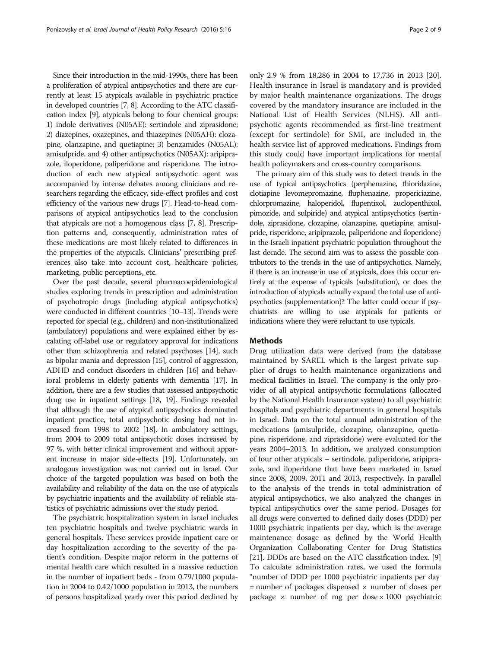Since their introduction in the mid-1990s, there has been a proliferation of atypical antipsychotics and there are currently at least 15 atypicals available in psychiatric practice in developed countries [\[7](#page-8-0), [8](#page-8-0)]. According to the ATC classification index [\[9\]](#page-8-0), atypicals belong to four chemical groups: 1) indole derivatives (N05AE): sertindole and ziprasidone; 2) diazepines, oxazepines, and thiazepines (N05AH): clozapine, olanzapine, and quetiapine; 3) benzamides (N05AL): amisulpride, and 4) other antipsychotics (N05AX): aripiprazole, iloperidone, paliperidone and risperidone. The introduction of each new atypical antipsychotic agent was accompanied by intense debates among clinicians and researchers regarding the efficacy, side-effect profiles and cost efficiency of the various new drugs [\[7\]](#page-8-0). Head-to-head comparisons of atypical antipsychotics lead to the conclusion that atypicals are not a homogenous class [[7](#page-8-0), [8\]](#page-8-0). Prescription patterns and, consequently, administration rates of these medications are most likely related to differences in the properties of the atypicals. Clinicians' prescribing preferences also take into account cost, healthcare policies, marketing, public perceptions, etc.

Over the past decade, several pharmacoepidemiological studies exploring trends in prescription and administration of psychotropic drugs (including atypical antipsychotics) were conducted in different countries [\[10](#page-8-0)–[13\]](#page-8-0). Trends were reported for special (e.g., children) and non-institutionalized (ambulatory) populations and were explained either by escalating off-label use or regulatory approval for indications other than schizophrenia and related psychoses [\[14\]](#page-8-0), such as bipolar mania and depression [\[15\]](#page-8-0), control of aggression, ADHD and conduct disorders in children [\[16\]](#page-8-0) and behavioral problems in elderly patients with dementia [\[17](#page-8-0)]. In addition, there are a few studies that assessed antipsychotic drug use in inpatient settings [\[18, 19\]](#page-8-0). Findings revealed that although the use of atypical antipsychotics dominated inpatient practice, total antipsychotic dosing had not increased from 1998 to 2002 [\[18\]](#page-8-0). In ambulatory settings, from 2004 to 2009 total antipsychotic doses increased by 97 %, with better clinical improvement and without apparent increase in major side-effects [\[19](#page-8-0)]. Unfortunately, an analogous investigation was not carried out in Israel. Our choice of the targeted population was based on both the availability and reliability of the data on the use of atypicals by psychiatric inpatients and the availability of reliable statistics of psychiatric admissions over the study period.

The psychiatric hospitalization system in Israel includes ten psychiatric hospitals and twelve psychiatric wards in general hospitals. These services provide inpatient care or day hospitalization according to the severity of the patient's condition. Despite major reform in the patterns of mental health care which resulted in a massive reduction in the number of inpatient beds - from 0.79/1000 population in 2004 to 0.42/1000 population in 2013, the numbers of persons hospitalized yearly over this period declined by only 2.9 % from 18,286 in 2004 to 17,736 in 2013 [[20](#page-8-0)]. Health insurance in Israel is mandatory and is provided by major health maintenance organizations. The drugs covered by the mandatory insurance are included in the National List of Health Services (NLHS). All antipsychotic agents recommended as first-line treatment (except for sertindole) for SMI, are included in the health service list of approved medications. Findings from this study could have important implications for mental health policymakers and cross-country comparisons.

The primary aim of this study was to detect trends in the use of typical antipsychotics (perphenazine, thioridazine, clotiapine levomepromazine, fluphenazine, propericiazine, chlorpromazine, haloperidol, flupentixol, zuclopenthixol, pimozide, and sulpiride) and atypical antipsychotics (sertindole, ziprasidone, clozapine, olanzapine, quetiapine, amisulpride, risperidone, aripiprazole, paliperidone and iloperidone) in the Israeli inpatient psychiatric population throughout the last decade. The second aim was to assess the possible contributors to the trends in the use of antipsychotics. Namely, if there is an increase in use of atypicals, does this occur entirely at the expense of typicals (substitution), or does the introduction of atypicals actually expand the total use of antipsychotics (supplementation)? The latter could occur if psychiatrists are willing to use atypicals for patients or indications where they were reluctant to use typicals.

## Methods

Drug utilization data were derived from the database maintained by SAREL which is the largest private supplier of drugs to health maintenance organizations and medical facilities in Israel. The company is the only provider of all atypical antipsychotic formulations (allocated by the National Health Insurance system) to all psychiatric hospitals and psychiatric departments in general hospitals in Israel. Data on the total annual administration of the medications (amisulpride, clozapine, olanzapine, quetiapine, risperidone, and ziprasidone) were evaluated for the years 2004–2013. In addition, we analyzed consumption of four other atypicals – sertindole, paliperidone, aripiprazole, and iloperidone that have been marketed in Israel since 2008, 2009, 2011 and 2013, respectively. In parallel to the analysis of the trends in total administration of atypical antipsychotics, we also analyzed the changes in typical antipsychotics over the same period. Dosages for all drugs were converted to defined daily doses (DDD) per 1000 psychiatric inpatients per day, which is the average maintenance dosage as defined by the World Health Organization Collaborating Center for Drug Statistics [[21](#page-8-0)]. DDDs are based on the ATC classification index. [[9](#page-8-0)] To calculate administration rates, we used the formula "number of DDD per 1000 psychiatric inpatients per day  $=$  number of packages dispensed  $\times$  number of doses per package  $\times$  number of mg per dose  $\times$  1000 psychiatric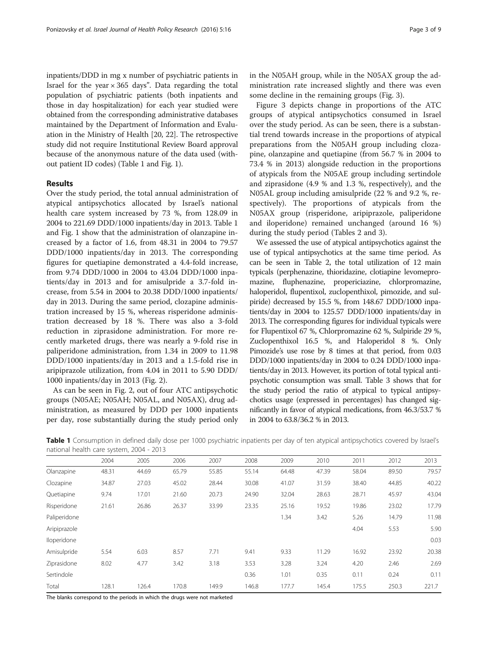inpatients/DDD in mg x number of psychiatric patients in Israel for the year  $\times$  365 days". Data regarding the total population of psychiatric patients (both inpatients and those in day hospitalization) for each year studied were obtained from the corresponding administrative databases maintained by the Department of Information and Evaluation in the Ministry of Health [\[20](#page-8-0), [22\]](#page-8-0). The retrospective study did not require Institutional Review Board approval because of the anonymous nature of the data used (without patient ID codes) (Table 1 and Fig. [1](#page-3-0)).

## Results

Over the study period, the total annual administration of atypical antipsychotics allocated by Israel's national health care system increased by 73 %, from 128.09 in 2004 to 221.69 DDD/1000 inpatients/day in 2013. Table 1 and Fig. [1](#page-3-0) show that the administration of olanzapine increased by a factor of 1.6, from 48.31 in 2004 to 79.57 DDD/1000 inpatients/day in 2013. The corresponding figures for quetiapine demonstrated a 4.4-fold increase, from 9.74 DDD/1000 in 2004 to 43.04 DDD/1000 inpatients/day in 2013 and for amisulpride a 3.7-fold increase, from 5.54 in 2004 to 20.38 DDD/1000 inpatients/ day in 2013. During the same period, clozapine administration increased by 15 %, whereas risperidone administration decreased by 18 %. There was also a 3-fold reduction in ziprasidone administration. For more recently marketed drugs, there was nearly a 9-fold rise in paliperidone administration, from 1.34 in 2009 to 11.98 DDD/1000 inpatients/day in 2013 and a 1.5-fold rise in aripiprazole utilization, from 4.04 in 2011 to 5.90 DDD/ 1000 inpatients/day in 2013 (Fig. [2](#page-3-0)).

As can be seen in Fig. [2](#page-3-0), out of four ATC antipsychotic groups (N05AE; N05AH; N05AL, and N05AX), drug administration, as measured by DDD per 1000 inpatients per day, rose substantially during the study period only in the N05AH group, while in the N05AX group the administration rate increased slightly and there was even some decline in the remaining groups (Fig. [3](#page-4-0)).

Figure [3](#page-4-0) depicts change in proportions of the ATC groups of atypical antipsychotics consumed in Israel over the study period. As can be seen, there is a substantial trend towards increase in the proportions of atypical preparations from the N05AH group including clozapine, olanzapine and quetiapine (from 56.7 % in 2004 to 73.4 % in 2013) alongside reduction in the proportions of atypicals from the N05AE group including sertindole and ziprasidone (4.9 % and 1.3 %, respectively), and the N05AL group including amisulpride (22 % and 9.2 %, respectively). The proportions of atypicals from the N05AX group (risperidone, aripiprazole, paliperidone and iloperidone) remained unchanged (around 16 %) during the study period (Tables [2](#page-4-0) and [3](#page-5-0)).

We assessed the use of atypical antipsychotics against the use of typical antipsychotics at the same time period. As can be seen in Table [2](#page-4-0), the total utilization of 12 main typicals (perphenazine, thioridazine, clotiapine levomepromazine, fluphenazine, propericiazine, chlorpromazine, haloperidol, flupentixol, zuclopenthixol, pimozide, and sulpiride) decreased by 15.5 %, from 148.67 DDD/1000 inpatients/day in 2004 to 125.57 DDD/1000 inpatients/day in 2013. The corresponding figures for individual typicals were for Flupentixol 67 %, Chlorpromazine 62 %, Sulpiride 29 %, Zuclopenthixol 16.5 %, and Haloperidol 8 %. Only Pimozide's use rose by 8 times at that period, from 0.03 DDD/1000 inpatients/day in 2004 to 0.24 DDD/1000 inpatients/day in 2013. However, its portion of total typical antipsychotic consumption was small. Table [3](#page-5-0) shows that for the study period the ratio of atypical to typical antipsychotics usage (expressed in percentages) has changed significantly in favor of atypical medications, from 46.3/53.7 % in 2004 to 63.8/36.2 % in 2013.

Table 1 Consumption in defined daily dose per 1000 psychiatric inpatients per day of ten atypical antipsychotics covered by Israel's national health care system, 2004 - 2013

|              | 2004  | 2005  | 2006  | 2007  | 2008  | 2009  | 2010  | 2011  | 2012  | 2013  |
|--------------|-------|-------|-------|-------|-------|-------|-------|-------|-------|-------|
| Olanzapine   | 48.31 | 44.69 | 65.79 | 55.85 | 55.14 | 64.48 | 47.39 | 58.04 | 89.50 | 79.57 |
| Clozapine    | 34.87 | 27.03 | 45.02 | 28.44 | 30.08 | 41.07 | 31.59 | 38.40 | 44.85 | 40.22 |
| Quetiapine   | 9.74  | 17.01 | 21.60 | 20.73 | 24.90 | 32.04 | 28.63 | 28.71 | 45.97 | 43.04 |
| Risperidone  | 21.61 | 26.86 | 26.37 | 33.99 | 23.35 | 25.16 | 19.52 | 19.86 | 23.02 | 17.79 |
| Paliperidone |       |       |       |       |       | 1.34  | 3.42  | 5.26  | 14.79 | 11.98 |
| Aripiprazole |       |       |       |       |       |       |       | 4.04  | 5.53  | 5.90  |
| Iloperidone  |       |       |       |       |       |       |       |       |       | 0.03  |
| Amisulpride  | 5.54  | 6.03  | 8.57  | 7.71  | 9.41  | 9.33  | 11.29 | 16.92 | 23.92 | 20.38 |
| Ziprasidone  | 8.02  | 4.77  | 3.42  | 3.18  | 3.53  | 3.28  | 3.24  | 4.20  | 2.46  | 2.69  |
| Sertindole   |       |       |       |       | 0.36  | 1.01  | 0.35  | 0.11  | 0.24  | 0.11  |
| Total        | 128.1 | 126.4 | 170.8 | 149.9 | 146.8 | 177.7 | 145.4 | 175.5 | 250.3 | 221.7 |
|              |       |       |       |       |       |       |       |       |       |       |

The blanks correspond to the periods in which the drugs were not marketed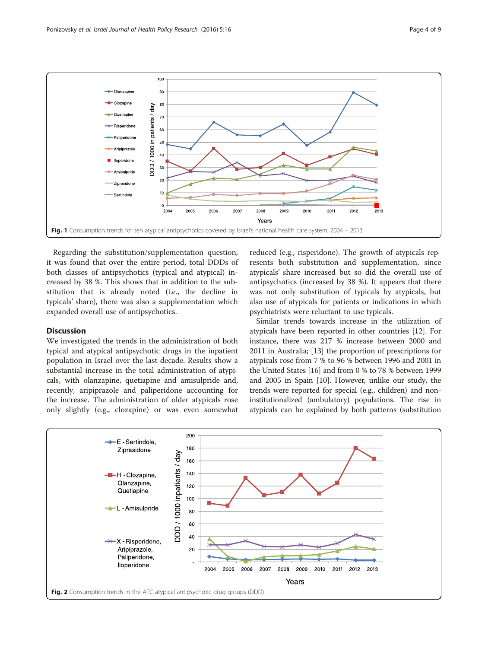<span id="page-3-0"></span>

Regarding the substitution/supplementation question, it was found that over the entire period, total DDDs of both classes of antipsychotics (typical and atypical) increased by 38 %. This shows that in addition to the substitution that is already noted (i.e., the decline in typicals' share), there was also a supplementation which expanded overall use of antipsychotics.

## **Discussion**

We investigated the trends in the administration of both typical and atypical antipsychotic drugs in the inpatient population in Israel over the last decade. Results show a substantial increase in the total administration of atypicals, with olanzapine, quetiapine and amisulpride and, recently, aripiprazole and paliperidone accounting for the increase. The administration of older atypicals rose only slightly (e.g., clozapine) or was even somewhat

reduced (e.g., risperidone). The growth of atypicals represents both substitution and supplementation, since atypicals' share increased but so did the overall use of antipsychotics (increased by 38 %). It appears that there was not only substitution of typicals by atypicals, but also use of atypicals for patients or indications in which psychiatrists were reluctant to use typicals.

Similar trends towards increase in the utilization of atypicals have been reported in other countries [\[12\]](#page-8-0). For instance, there was 217 % increase between 2000 and 2011 in Australia; [[13](#page-8-0)] the proportion of prescriptions for atypicals rose from 7 % to 96 % between 1996 and 2001 in the United States [\[16\]](#page-8-0) and from 0 % to 78 % between 1999 and 2005 in Spain [[10](#page-8-0)]. However, unlike our study, the trends were reported for special (e.g., children) and noninstitutionalized (ambulatory) populations. The rise in atypicals can be explained by both patterns (substitution

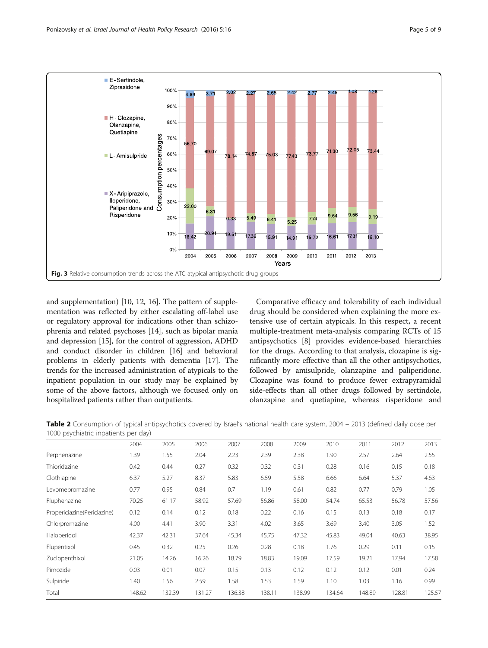<span id="page-4-0"></span>

and supplementation) [\[10, 12, 16](#page-8-0)]. The pattern of supplementation was reflected by either escalating off-label use or regulatory approval for indications other than schizophrenia and related psychoses [\[14\]](#page-8-0), such as bipolar mania and depression [[15](#page-8-0)], for the control of aggression, ADHD and conduct disorder in children [\[16\]](#page-8-0) and behavioral problems in elderly patients with dementia [[17](#page-8-0)]. The trends for the increased administration of atypicals to the inpatient population in our study may be explained by some of the above factors, although we focused only on hospitalized patients rather than outpatients.

Comparative efficacy and tolerability of each individual drug should be considered when explaining the more extensive use of certain atypicals. In this respect, a recent multiple-treatment meta-analysis comparing RCTs of 15 antipsychotics [[8](#page-8-0)] provides evidence-based hierarchies for the drugs. According to that analysis, clozapine is significantly more effective than all the other antipsychotics, followed by amisulpride, olanzapine and paliperidone. Clozapine was found to produce fewer extrapyramidal side-effects than all other drugs followed by sertindole, olanzapine and quetiapine, whereas risperidone and

Table 2 Consumption of typical antipsychotics covered by Israel's national health care system, 2004 – 2013 (defined daily dose per 1000 psychiatric inpatients per day)

| 2004   | 2005   | 2006   | 2007   | 2008   | 2009   | 2010   | 2011   | 2012   | 2013   |
|--------|--------|--------|--------|--------|--------|--------|--------|--------|--------|
| 1.39   | 1.55   | 2.04   | 2.23   | 2.39   | 2.38   | 1.90   | 2.57   | 2.64   | 2.55   |
| 0.42   | 0.44   | 0.27   | 0.32   | 0.32   | 0.31   | 0.28   | 0.16   | 0.15   | 0.18   |
| 6.37   | 5.27   | 8.37   | 5.83   | 6.59   | 5.58   | 6.66   | 6.64   | 5.37   | 4.63   |
| 0.77   | 0.95   | 0.84   | 0.7    | 1.19   | 0.61   | 0.82   | 0.77   | 0.79   | 1.05   |
| 70.25  | 61.17  | 58.92  | 57.69  | 56.86  | 58.00  | 54.74  | 65.53  | 56.78  | 57.56  |
| 0.12   | 0.14   | 0.12   | 0.18   | 0.22   | 0.16   | 0.15   | 0.13   | 0.18   | 0.17   |
| 4.00   | 4.41   | 3.90   | 3.31   | 4.02   | 3.65   | 3.69   | 3.40   | 3.05   | 1.52   |
| 42.37  | 42.31  | 37.64  | 45.34  | 45.75  | 47.32  | 45.83  | 49.04  | 40.63  | 38.95  |
| 0.45   | 0.32   | 0.25   | 0.26   | 0.28   | 0.18   | 1.76   | 0.29   | 0.11   | 0.15   |
| 21.05  | 14.26  | 16.26  | 18.79  | 18.83  | 19.09  | 17.59  | 19.21  | 17.94  | 17.58  |
| 0.03   | 0.01   | 0.07   | 0.15   | 0.13   | 0.12   | 0.12   | 0.12   | 0.01   | 0.24   |
| 1.40   | 1.56   | 2.59   | 1.58   | 1.53   | 1.59   | 1.10   | 1.03   | 1.16   | 0.99   |
| 148.62 | 132.39 | 131.27 | 136.38 | 138.11 | 138.99 | 134.64 | 148.89 | 128.81 | 125.57 |
|        |        |        |        |        |        |        |        |        |        |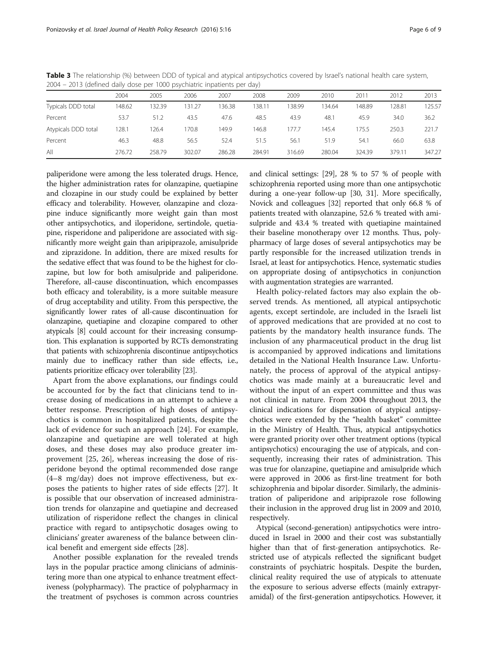|                     | 2004   | 2005   | 2006   | 2007   | 2008           | 2009   | 2010   | 2011   | 2012   | 2013   |
|---------------------|--------|--------|--------|--------|----------------|--------|--------|--------|--------|--------|
| Typicals DDD total  | 148.62 | 132.39 | 131.27 | 136.38 | $38.1^{\circ}$ | 138.99 | 134.64 | 148.89 | 128.81 | 125.57 |
| Percent             | 53.7   | 51.2   | 43.5   | 47.6   | 48.5           | 43.9   | 48.1   | 45.9   | 34.0   | 36.2   |
| Atypicals DDD total | 128.1  | 126.4  | 170.8  | 149.9  | 46.8           | 177.7  | 145.4  | 175.5  | 250.3  | 221.7  |
| Percent             | 46.3   | 48.8   | 56.5   | 52.4   | 51.5           | 56.1   | 51.9   | 54.1   | 66.0   | 63.8   |
| All                 | 276.72 | 258.79 | 302.07 | 286.28 | 284.91         | 316.69 | 280.04 | 324.39 | 379.11 | 347.27 |

<span id="page-5-0"></span>Table 3 The relationship (%) between DDD of typical and atypical antipsychotics covered by Israel's national health care system, 2004 – 2013 (defined daily dose per 1000 psychiatric inpatients per day)

paliperidone were among the less tolerated drugs. Hence, the higher administration rates for olanzapine, quetiapine and clozapine in our study could be explained by better efficacy and tolerability. However, olanzapine and clozapine induce significantly more weight gain than most other antipsychotics, and iloperidone, sertindole, quetiapine, risperidone and paliperidone are associated with significantly more weight gain than aripiprazole, amisulpride and ziprazidone. In addition, there are mixed results for the sedative effect that was found to be the highest for clozapine, but low for both amisulpride and paliperidone. Therefore, all-cause discontinuation, which encompasses both efficacy and tolerability, is a more suitable measure of drug acceptability and utility. From this perspective, the significantly lower rates of all-cause discontinuation for olanzapine, quetiapine and clozapine compared to other atypicals [\[8\]](#page-8-0) could account for their increasing consumption. This explanation is supported by RCTs demonstrating that patients with schizophrenia discontinue antipsychotics mainly due to inefficacy rather than side effects, i.e., patients prioritize efficacy over tolerability [\[23](#page-8-0)].

Apart from the above explanations, our findings could be accounted for by the fact that clinicians tend to increase dosing of medications in an attempt to achieve a better response. Prescription of high doses of antipsychotics is common in hospitalized patients, despite the lack of evidence for such an approach [\[24](#page-8-0)]. For example, olanzapine and quetiapine are well tolerated at high doses, and these doses may also produce greater improvement [[25, 26\]](#page-8-0), whereas increasing the dose of risperidone beyond the optimal recommended dose range (4–8 mg/day) does not improve effectiveness, but exposes the patients to higher rates of side effects [\[27\]](#page-8-0). It is possible that our observation of increased administration trends for olanzapine and quetiapine and decreased utilization of risperidone reflect the changes in clinical practice with regard to antipsychotic dosages owing to clinicians' greater awareness of the balance between clinical benefit and emergent side effects [[28\]](#page-8-0).

Another possible explanation for the revealed trends lays in the popular practice among clinicians of administering more than one atypical to enhance treatment effectiveness (polypharmacy). The practice of polypharmacy in the treatment of psychoses is common across countries and clinical settings: [\[29\]](#page-8-0), 28 % to 57 % of people with schizophrenia reported using more than one antipsychotic during a one-year follow-up [[30](#page-8-0), [31\]](#page-8-0). More specifically, Novick and colleagues [[32](#page-8-0)] reported that only 66.8 % of patients treated with olanzapine, 52.6 % treated with amisulpride and 43.4 % treated with quetiapine maintained their baseline monotherapy over 12 months. Thus, polypharmacy of large doses of several antipsychotics may be partly responsible for the increased utilization trends in Israel, at least for antipsychotics. Hence, systematic studies on appropriate dosing of antipsychotics in conjunction with augmentation strategies are warranted.

Health policy-related factors may also explain the observed trends. As mentioned, all atypical antipsychotic agents, except sertindole, are included in the Israeli list of approved medications that are provided at no cost to patients by the mandatory health insurance funds. The inclusion of any pharmaceutical product in the drug list is accompanied by approved indications and limitations detailed in the National Health Insurance Law. Unfortunately, the process of approval of the atypical antipsychotics was made mainly at a bureaucratic level and without the input of an expert committee and thus was not clinical in nature. From 2004 throughout 2013, the clinical indications for dispensation of atypical antipsychotics were extended by the "health basket" committee in the Ministry of Health. Thus, atypical antipsychotics were granted priority over other treatment options (typical antipsychotics) encouraging the use of atypicals, and consequently, increasing their rates of administration. This was true for olanzapine, quetiapine and amisulpride which were approved in 2006 as first-line treatment for both schizophrenia and bipolar disorder. Similarly, the administration of paliperidone and aripiprazole rose following their inclusion in the approved drug list in 2009 and 2010, respectively.

Atypical (second-generation) antipsychotics were introduced in Israel in 2000 and their cost was substantially higher than that of first-generation antipsychotics. Restricted use of atypicals reflected the significant budget constraints of psychiatric hospitals. Despite the burden, clinical reality required the use of atypicals to attenuate the exposure to serious adverse effects (mainly extrapyramidal) of the first-generation antipsychotics. However, it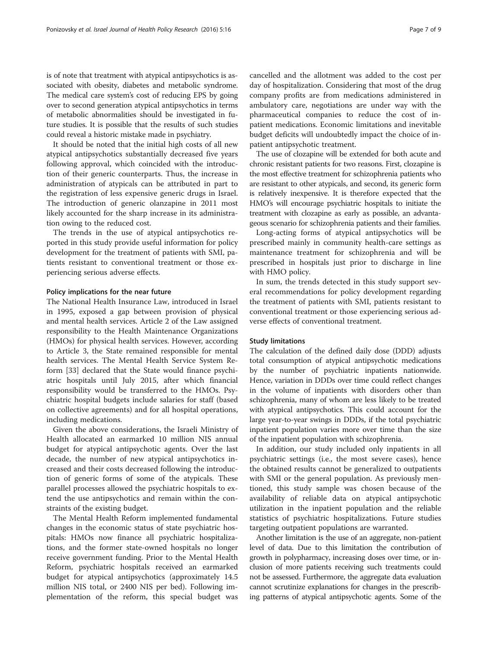is of note that treatment with atypical antipsychotics is associated with obesity, diabetes and metabolic syndrome. The medical care system's cost of reducing EPS by going over to second generation atypical antipsychotics in terms of metabolic abnormalities should be investigated in future studies. It is possible that the results of such studies could reveal a historic mistake made in psychiatry.

It should be noted that the initial high costs of all new atypical antipsychotics substantially decreased five years following approval, which coincided with the introduction of their generic counterparts. Thus, the increase in administration of atypicals can be attributed in part to the registration of less expensive generic drugs in Israel. The introduction of generic olanzapine in 2011 most likely accounted for the sharp increase in its administration owing to the reduced cost.

The trends in the use of atypical antipsychotics reported in this study provide useful information for policy development for the treatment of patients with SMI, patients resistant to conventional treatment or those experiencing serious adverse effects.

## Policy implications for the near future

The National Health Insurance Law, introduced in Israel in 1995, exposed a gap between provision of physical and mental health services. Article 2 of the Law assigned responsibility to the Health Maintenance Organizations (HMOs) for physical health services. However, according to Article 3, the State remained responsible for mental health services. The Mental Health Service System Reform [[33](#page-8-0)] declared that the State would finance psychiatric hospitals until July 2015, after which financial responsibility would be transferred to the HMOs. Psychiatric hospital budgets include salaries for staff (based on collective agreements) and for all hospital operations, including medications.

Given the above considerations, the Israeli Ministry of Health allocated an earmarked 10 million NIS annual budget for atypical antipsychotic agents. Over the last decade, the number of new atypical antipsychotics increased and their costs decreased following the introduction of generic forms of some of the atypicals. These parallel processes allowed the psychiatric hospitals to extend the use antipsychotics and remain within the constraints of the existing budget.

The Mental Health Reform implemented fundamental changes in the economic status of state psychiatric hospitals: HMOs now finance all psychiatric hospitalizations, and the former state-owned hospitals no longer receive government funding. Prior to the Mental Health Reform, psychiatric hospitals received an earmarked budget for atypical antipsychotics (approximately 14.5 million NIS total, or 2400 NIS per bed). Following implementation of the reform, this special budget was cancelled and the allotment was added to the cost per day of hospitalization. Considering that most of the drug company profits are from medications administered in ambulatory care, negotiations are under way with the pharmaceutical companies to reduce the cost of inpatient medications. Economic limitations and inevitable budget deficits will undoubtedly impact the choice of inpatient antipsychotic treatment.

The use of clozapine will be extended for both acute and chronic resistant patients for two reasons. First, clozapine is the most effective treatment for schizophrenia patients who are resistant to other atypicals, and second, its generic form is relatively inexpensive. It is therefore expected that the HMO's will encourage psychiatric hospitals to initiate the treatment with clozapine as early as possible, an advantageous scenario for schizophrenia patients and their families.

Long-acting forms of atypical antipsychotics will be prescribed mainly in community health-care settings as maintenance treatment for schizophrenia and will be prescribed in hospitals just prior to discharge in line with HMO policy.

In sum, the trends detected in this study support several recommendations for policy development regarding the treatment of patients with SMI, patients resistant to conventional treatment or those experiencing serious adverse effects of conventional treatment.

## Study limitations

The calculation of the defined daily dose (DDD) adjusts total consumption of atypical antipsychotic medications by the number of psychiatric inpatients nationwide. Hence, variation in DDDs over time could reflect changes in the volume of inpatients with disorders other than schizophrenia, many of whom are less likely to be treated with atypical antipsychotics. This could account for the large year-to-year swings in DDDs, if the total psychiatric inpatient population varies more over time than the size of the inpatient population with schizophrenia.

In addition, our study included only inpatients in all psychiatric settings (i.e., the most severe cases), hence the obtained results cannot be generalized to outpatients with SMI or the general population. As previously mentioned, this study sample was chosen because of the availability of reliable data on atypical antipsychotic utilization in the inpatient population and the reliable statistics of psychiatric hospitalizations. Future studies targeting outpatient populations are warranted.

Another limitation is the use of an aggregate, non-patient level of data. Due to this limitation the contribution of growth in polypharmacy, increasing doses over time, or inclusion of more patients receiving such treatments could not be assessed. Furthermore, the aggregate data evaluation cannot scrutinize explanations for changes in the prescribing patterns of atypical antipsychotic agents. Some of the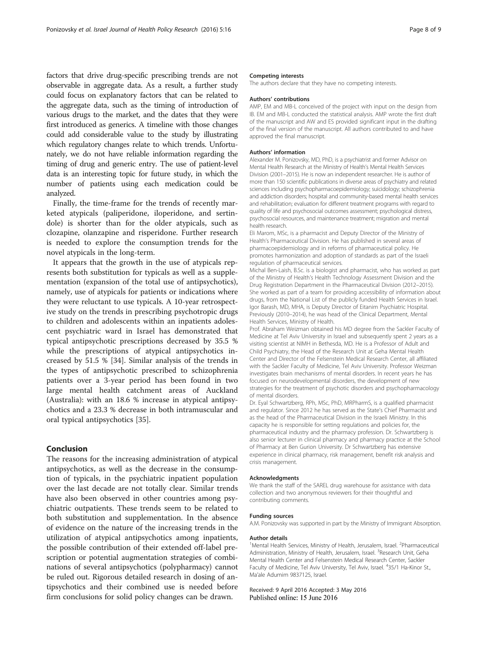factors that drive drug-specific prescribing trends are not observable in aggregate data. As a result, a further study could focus on explanatory factors that can be related to the aggregate data, such as the timing of introduction of various drugs to the market, and the dates that they were first introduced as generics. A timeline with those changes could add considerable value to the study by illustrating which regulatory changes relate to which trends. Unfortunately, we do not have reliable information regarding the timing of drug and generic entry. The use of patient-level data is an interesting topic for future study, in which the number of patients using each medication could be analyzed.

Finally, the time-frame for the trends of recently marketed atypicals (paliperidone, iloperidone, and sertindole) is shorter than for the older atypicals, such as clozapine, olanzapine and risperidone. Further research is needed to explore the consumption trends for the novel atypicals in the long-term.

It appears that the growth in the use of atypicals represents both substitution for typicals as well as a supplementation (expansion of the total use of antipsychotics), namely, use of atypicals for patients or indications where they were reluctant to use typicals. A 10-year retrospective study on the trends in prescribing psychotropic drugs to children and adolescents within an inpatients adolescent psychiatric ward in Israel has demonstrated that typical antipsychotic prescriptions decreased by 35.5 % while the prescriptions of atypical antipsychotics increased by 51.5 % [\[34](#page-8-0)]. Similar analysis of the trends in the types of antipsychotic prescribed to schizophrenia patients over a 3-year period has been found in two large mental health catchment areas of Auckland (Australia): with an 18.6 % increase in atypical antipsychotics and a 23.3 % decrease in both intramuscular and oral typical antipsychotics [[35\]](#page-8-0).

## Conclusion

The reasons for the increasing administration of atypical antipsychotics, as well as the decrease in the consumption of typicals, in the psychiatric inpatient population over the last decade are not totally clear. Similar trends have also been observed in other countries among psychiatric outpatients. These trends seem to be related to both substitution and supplementation. In the absence of evidence on the nature of the increasing trends in the utilization of atypical antipsychotics among inpatients, the possible contribution of their extended off-label prescription or potential augmentation strategies of combinations of several antipsychotics (polypharmacy) cannot be ruled out. Rigorous detailed research in dosing of antipsychotics and their combined use is needed before firm conclusions for solid policy changes can be drawn.

#### Competing interests

The authors declare that they have no competing interests.

#### Authors' contributions

AMP, EM and MB-L conceived of the project with input on the design from IB. EM and MB-L conducted the statistical analysis. AMP wrote the first draft of the manuscript and AW and ES provided significant input in the drafting of the final version of the manuscript. All authors contributed to and have approved the final manuscript.

#### Authors' information

Alexander M. Ponizovsky, MD, PhD, is a psychiatrist and former Advisor on Mental Health Research at the Ministry of Health's Mental Health Services Division (2001–2015). He is now an independent researcher. He is author of more than 150 scientific publications in diverse areas of psychiatry and related sciences including psychopharmacoepidemiology; suicidology; schizophrenia and addiction disorders; hospital and community-based mental health services and rehabilitation; evaluation for different treatment programs with regard to quality of life and psychosocial outcomes assessment; psychological distress, psychosocial resources, and maintenance treatment; migration and mental health research.

Eli Marom, MSc, is a pharmacist and Deputy Director of the Ministry of Health's Pharmaceutical Division. He has published in several areas of pharmacoepidemiology and in reforms of pharmaceutical policy. He promotes harmonization and adoption of standards as part of the Israeli regulation of pharmaceutical services.

Michal Ben-Laish, B.Sc. is a biologist and pharmacist, who has worked as part of the Ministry of Health's Health Technology Assessment Division and the Drug Registration Department in the Pharmaceutical Division (2012–2015). She worked as part of a team for providing accessibility of information about drugs, from the National List of the publicly funded Health Services in Israel. Igor Barash, MD, MHA, is Deputy Director of Eitanim Psychiatric Hospital. Previously (2010–2014), he was head of the Clinical Department, Mental Health Services, Ministry of Health.

Prof. Abraham Weizman obtained his MD degree from the Sackler Faculty of Medicine at Tel Aviv University in Israel and subsequently spent 2 years as a visiting scientist at NIMH in Bethesda, MD. He is a Professor of Adult and Child Psychiatry, the Head of the Research Unit at Geha Mental Health Center and Director of the Felsenstein Medical Research Center, all affiliated with the Sackler Faculty of Medicine, Tel Aviv University. Professor Weizman investigates brain mechanisms of mental disorders. In recent years he has focused on neurodevelopmental disorders, the development of new strategies for the treatment of psychotic disorders and psychopharmacology of mental disorders.

Dr. Eyal Schwartzberg, RPh, MSc, PhD, MRPharmS, is a qualified pharmacist and regulator. Since 2012 he has served as the State's Chief Pharmacist and as the head of the Pharmaceutical Division in the Israeli Ministry. In this capacity he is responsible for setting regulations and policies for, the pharmaceutical industry and the pharmacy profession. Dr. Schwartzberg is also senior lecturer in clinical pharmacy and pharmacy practice at the School of Pharmacy at Ben Gurion University. Dr Schwartzberg has extensive experience in clinical pharmacy, risk management, benefit risk analysis and crisis management.

#### Acknowledgments

We thank the staff of the SAREL drug warehouse for assistance with data collection and two anonymous reviewers for their thoughtful and contributing comments.

#### Funding sources

A.M. Ponizovsky was supported in part by the Ministry of Immigrant Absorption.

#### Author details

<sup>1</sup>Mental Health Services, Ministry of Health, Jerusalem, Israel. <sup>2</sup>Pharmaceutical Administration, Ministry of Health, Jerusalem, Israel. <sup>3</sup>Research Unit, Geha Mental Health Center and Felsenstein Medical Research Center, Sackler Faculty of Medicine, Tel Aviv University, Tel Aviv, Israel. 435/1 Ha-Kinor St. Ma'ale Adumim 9837125, Israel.

Received: 9 April 2016 Accepted: 3 May 2016 Published online: 15 June 2016